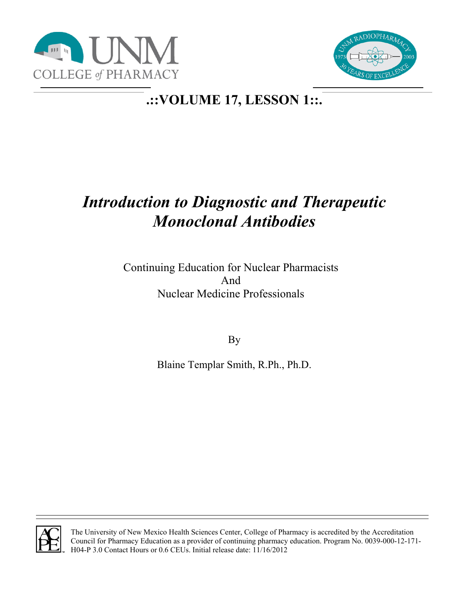



# **.::VOLUME 17, LESSON 1::.**

# *Introduction to Diagnostic and Therapeutic Monoclonal Antibodies*

Continuing Education for Nuclear Pharmacists And Nuclear Medicine Professionals

By

Blaine Templar Smith, R.Ph., Ph.D.



The University of New Mexico Health Sciences Center, College of Pharmacy is accredited by the Accreditation Council for Pharmacy Education as a provider of continuing pharmacy education. Program No. 0039-000-12-171- H04-P 3.0 Contact Hours or 0.6 CEUs. Initial release date: 11/16/2012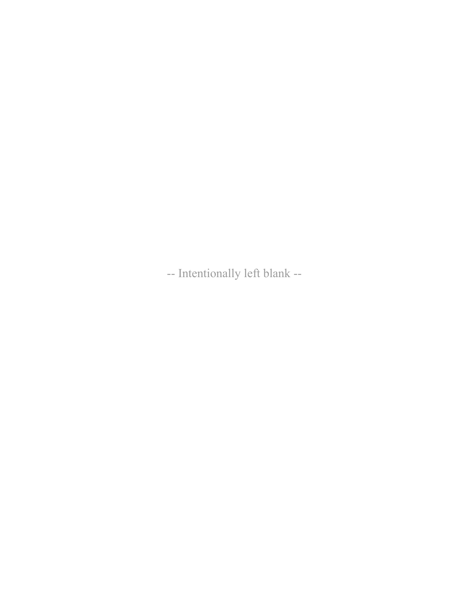-- Intentionally left blank --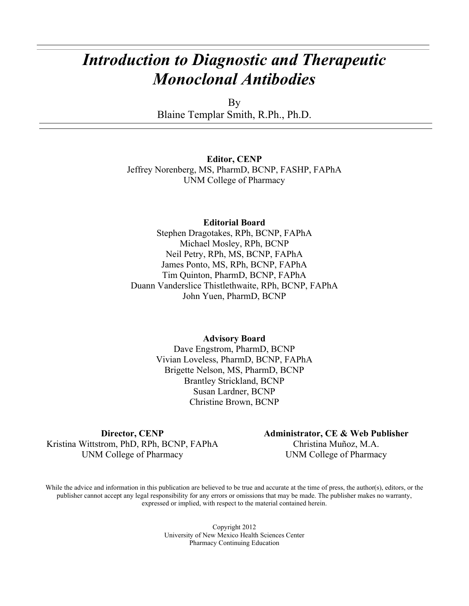# *Introduction to Diagnostic and Therapeutic Monoclonal Antibodies*

By Blaine Templar Smith, R.Ph., Ph.D.

**Editor, CENP**  Jeffrey Norenberg, MS, PharmD, BCNP, FASHP, FAPhA UNM College of Pharmacy

**Editorial Board** 

Stephen Dragotakes, RPh, BCNP, FAPhA Michael Mosley, RPh, BCNP Neil Petry, RPh, MS, BCNP, FAPhA James Ponto, MS, RPh, BCNP, FAPhA Tim Quinton, PharmD, BCNP, FAPhA Duann Vanderslice Thistlethwaite, RPh, BCNP, FAPhA John Yuen, PharmD, BCNP

#### **Advisory Board**

Dave Engstrom, PharmD, BCNP Vivian Loveless, PharmD, BCNP, FAPhA Brigette Nelson, MS, PharmD, BCNP Brantley Strickland, BCNP Susan Lardner, BCNP Christine Brown, BCNP

**Director, CENP**  Kristina Wittstrom, PhD, RPh, BCNP, FAPhA UNM College of Pharmacy

**Administrator, CE & Web Publisher**  Christina Muñoz, M.A. UNM College of Pharmacy

While the advice and information in this publication are believed to be true and accurate at the time of press, the author(s), editors, or the publisher cannot accept any legal responsibility for any errors or omissions that may be made. The publisher makes no warranty, expressed or implied, with respect to the material contained herein.

> Copyright 2012 University of New Mexico Health Sciences Center Pharmacy Continuing Education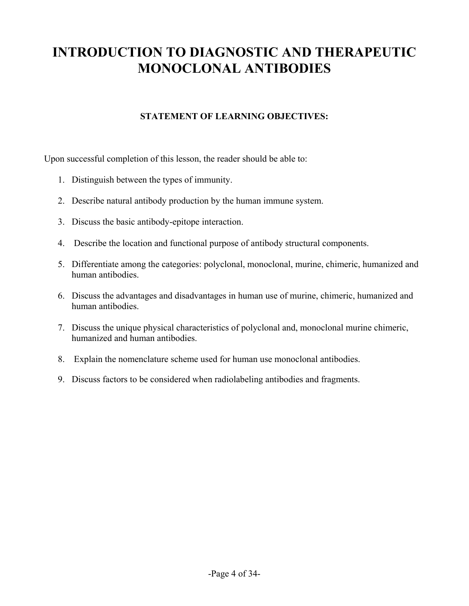# **INTRODUCTION TO DIAGNOSTIC AND THERAPEUTIC MONOCLONAL ANTIBODIES**

# **STATEMENT OF LEARNING OBJECTIVES:**

Upon successful completion of this lesson, the reader should be able to:

- 1. Distinguish between the types of immunity.
- 2. Describe natural antibody production by the human immune system.
- 3. Discuss the basic antibody-epitope interaction.
- 4. Describe the location and functional purpose of antibody structural components.
- 5. Differentiate among the categories: polyclonal, monoclonal, murine, chimeric, humanized and human antibodies.
- 6. Discuss the advantages and disadvantages in human use of murine, chimeric, humanized and human antibodies.
- 7. Discuss the unique physical characteristics of polyclonal and, monoclonal murine chimeric, humanized and human antibodies.
- 8. Explain the nomenclature scheme used for human use monoclonal antibodies.
- 9. Discuss factors to be considered when radiolabeling antibodies and fragments.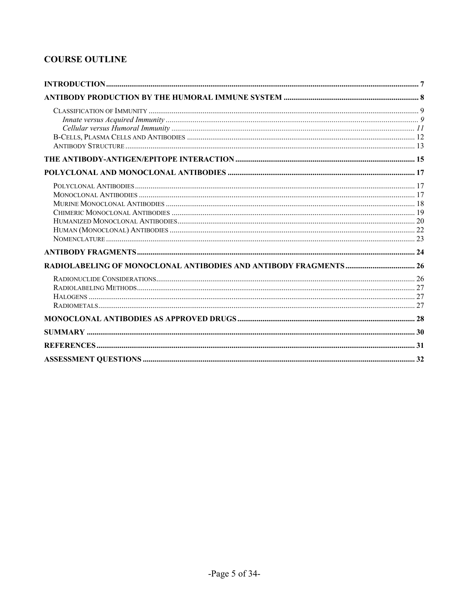# **COURSE OUTLINE**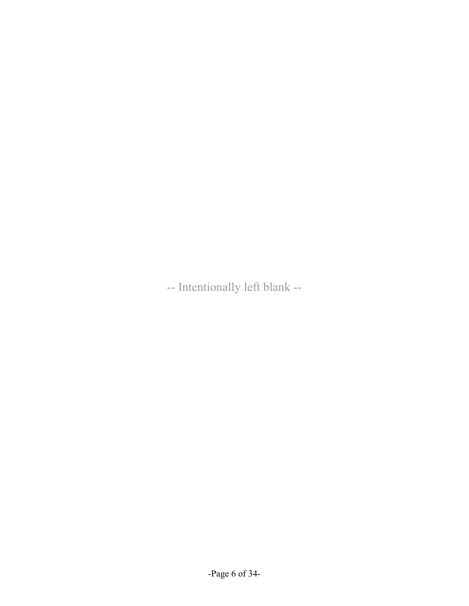-- Intentionally left blank --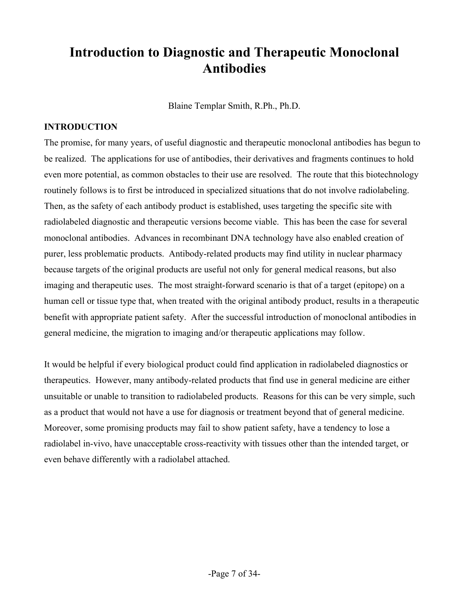# **Introduction to Diagnostic and Therapeutic Monoclonal Antibodies**

Blaine Templar Smith, R.Ph., Ph.D.

## **INTRODUCTION**

The promise, for many years, of useful diagnostic and therapeutic monoclonal antibodies has begun to be realized. The applications for use of antibodies, their derivatives and fragments continues to hold even more potential, as common obstacles to their use are resolved. The route that this biotechnology routinely follows is to first be introduced in specialized situations that do not involve radiolabeling. Then, as the safety of each antibody product is established, uses targeting the specific site with radiolabeled diagnostic and therapeutic versions become viable. This has been the case for several monoclonal antibodies. Advances in recombinant DNA technology have also enabled creation of purer, less problematic products. Antibody-related products may find utility in nuclear pharmacy because targets of the original products are useful not only for general medical reasons, but also imaging and therapeutic uses. The most straight-forward scenario is that of a target (epitope) on a human cell or tissue type that, when treated with the original antibody product, results in a therapeutic benefit with appropriate patient safety. After the successful introduction of monoclonal antibodies in general medicine, the migration to imaging and/or therapeutic applications may follow.

It would be helpful if every biological product could find application in radiolabeled diagnostics or therapeutics. However, many antibody-related products that find use in general medicine are either unsuitable or unable to transition to radiolabeled products. Reasons for this can be very simple, such as a product that would not have a use for diagnosis or treatment beyond that of general medicine. Moreover, some promising products may fail to show patient safety, have a tendency to lose a radiolabel in-vivo, have unacceptable cross-reactivity with tissues other than the intended target, or even behave differently with a radiolabel attached.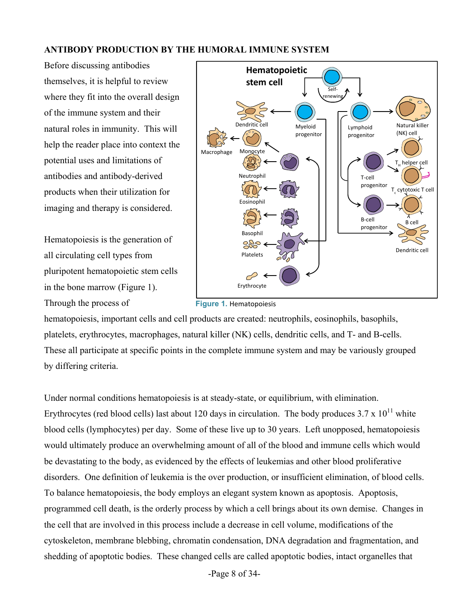# **ANTIBODY PRODUCTION BY THE HUMORAL IMMUNE SYSTEM**

Before discussing antibodies themselves, it is helpful to review where they fit into the overall design of the immune system and their natural roles in immunity. This will help the reader place into context the potential uses and limitations of antibodies and antibody-derived products when their utilization for imaging and therapy is considered.

Hematopoiesis is the generation of all circulating cell types from pluripotent hematopoietic stem cells in the bone marrow (Figure 1). Through the process of



**Figure 1.** Hematopoiesis

hematopoiesis, important cells and cell products are created: neutrophils, eosinophils, basophils, platelets, erythrocytes, macrophages, natural killer (NK) cells, dendritic cells, and T- and B-cells. These all participate at specific points in the complete immune system and may be variously grouped by differing criteria.

Under normal conditions hematopoiesis is at steady-state, or equilibrium, with elimination. Erythrocytes (red blood cells) last about 120 days in circulation. The body produces  $3.7 \times 10^{11}$  white blood cells (lymphocytes) per day. Some of these live up to 30 years. Left unopposed, hematopoiesis would ultimately produce an overwhelming amount of all of the blood and immune cells which would be devastating to the body, as evidenced by the effects of leukemias and other blood proliferative disorders. One definition of leukemia is the over production, or insufficient elimination, of blood cells. To balance hematopoiesis, the body employs an elegant system known as apoptosis. Apoptosis, programmed cell death, is the orderly process by which a cell brings about its own demise. Changes in the cell that are involved in this process include a decrease in cell volume, modifications of the cytoskeleton, membrane blebbing, chromatin condensation, DNA degradation and fragmentation, and shedding of apoptotic bodies. These changed cells are called apoptotic bodies, intact organelles that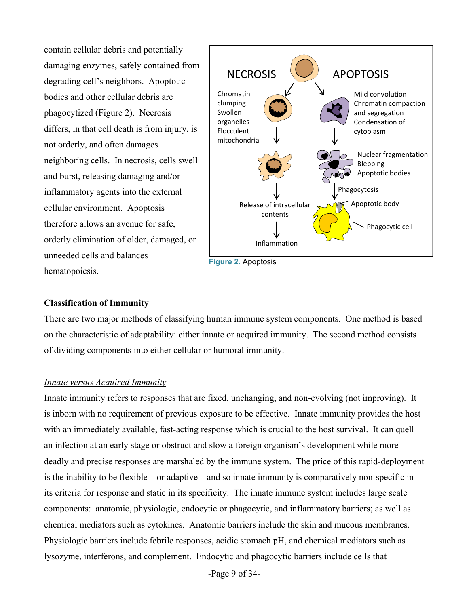contain cellular debris and potentially damaging enzymes, safely contained from degrading cell's neighbors. Apoptotic bodies and other cellular debris are phagocytized (Figure 2). Necrosis differs, in that cell death is from injury, is not orderly, and often damages neighboring cells. In necrosis, cells swell and burst, releasing damaging and/or inflammatory agents into the external cellular environment. Apoptosis therefore allows an avenue for safe, orderly elimination of older, damaged, or unneeded cells and balances hematopoiesis.



### **Classification of Immunity**

There are two major methods of classifying human immune system components. One method is based on the characteristic of adaptability: either innate or acquired immunity. The second method consists of dividing components into either cellular or humoral immunity.

#### *Innate versus Acquired Immunity*

Innate immunity refers to responses that are fixed, unchanging, and non-evolving (not improving). It is inborn with no requirement of previous exposure to be effective. Innate immunity provides the host with an immediately available, fast-acting response which is crucial to the host survival. It can quell an infection at an early stage or obstruct and slow a foreign organism's development while more deadly and precise responses are marshaled by the immune system. The price of this rapid-deployment is the inability to be flexible – or adaptive – and so innate immunity is comparatively non-specific in its criteria for response and static in its specificity. The innate immune system includes large scale components: anatomic, physiologic, endocytic or phagocytic, and inflammatory barriers; as well as chemical mediators such as cytokines. Anatomic barriers include the skin and mucous membranes. Physiologic barriers include febrile responses, acidic stomach pH, and chemical mediators such as lysozyme, interferons, and complement. Endocytic and phagocytic barriers include cells that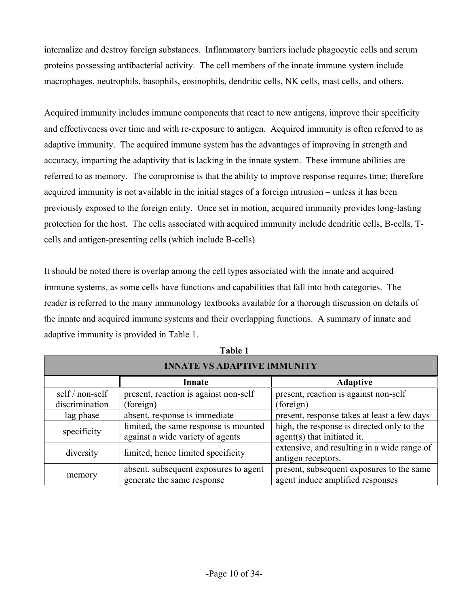internalize and destroy foreign substances. Inflammatory barriers include phagocytic cells and serum proteins possessing antibacterial activity. The cell members of the innate immune system include macrophages, neutrophils, basophils, eosinophils, dendritic cells, NK cells, mast cells, and others.

Acquired immunity includes immune components that react to new antigens, improve their specificity and effectiveness over time and with re-exposure to antigen. Acquired immunity is often referred to as adaptive immunity. The acquired immune system has the advantages of improving in strength and accuracy, imparting the adaptivity that is lacking in the innate system. These immune abilities are referred to as memory. The compromise is that the ability to improve response requires time; therefore acquired immunity is not available in the initial stages of a foreign intrusion – unless it has been previously exposed to the foreign entity. Once set in motion, acquired immunity provides long-lasting protection for the host. The cells associated with acquired immunity include dendritic cells, B-cells, Tcells and antigen-presenting cells (which include B-cells).

It should be noted there is overlap among the cell types associated with the innate and acquired immune systems, as some cells have functions and capabilities that fall into both categories. The reader is referred to the many immunology textbooks available for a thorough discussion on details of the innate and acquired immune systems and their overlapping functions. A summary of innate and adaptive immunity is provided in Table 1.

| <b>INNATE VS ADAPTIVE IMMUNITY</b> |                                       |                                             |  |
|------------------------------------|---------------------------------------|---------------------------------------------|--|
|                                    | Innate                                | <b>Adaptive</b>                             |  |
| self/non-self                      | present, reaction is against non-self | present, reaction is against non-self       |  |
| discrimination                     | (foreign)                             | (foreign)                                   |  |
| lag phase                          | absent, response is immediate         | present, response takes at least a few days |  |
| specificity                        | limited, the same response is mounted | high, the response is directed only to the  |  |
|                                    | against a wide variety of agents      | agent(s) that initiated it.                 |  |
| diversity                          | limited, hence limited specificity    | extensive, and resulting in a wide range of |  |
|                                    |                                       | antigen receptors.                          |  |
|                                    | absent, subsequent exposures to agent | present, subsequent exposures to the same   |  |
| memory                             | generate the same response            | agent induce amplified responses            |  |

**Table 1**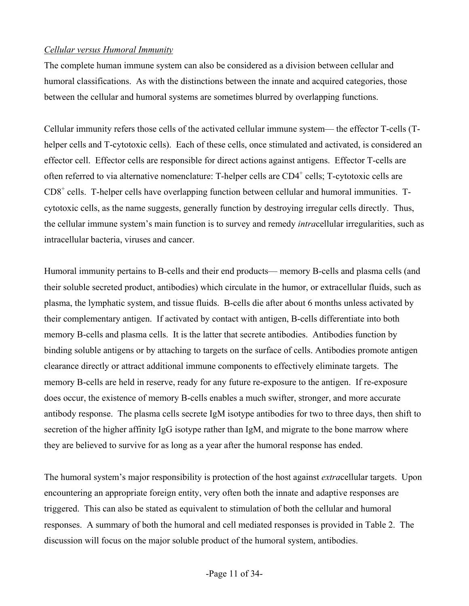# *Cellular versus Humoral Immunity*

The complete human immune system can also be considered as a division between cellular and humoral classifications. As with the distinctions between the innate and acquired categories, those between the cellular and humoral systems are sometimes blurred by overlapping functions.

Cellular immunity refers those cells of the activated cellular immune system— the effector T-cells (Thelper cells and T-cytotoxic cells). Each of these cells, once stimulated and activated, is considered an effector cell. Effector cells are responsible for direct actions against antigens. Effector T-cells are often referred to via alternative nomenclature: T-helper cells are CD4<sup>+</sup> cells; T-cytotoxic cells are CD8<sup>+</sup> cells. T-helper cells have overlapping function between cellular and humoral immunities. Tcytotoxic cells, as the name suggests, generally function by destroying irregular cells directly. Thus, the cellular immune system's main function is to survey and remedy *intra*cellular irregularities, such as intracellular bacteria, viruses and cancer.

Humoral immunity pertains to B-cells and their end products— memory B-cells and plasma cells (and their soluble secreted product, antibodies) which circulate in the humor, or extracellular fluids, such as plasma, the lymphatic system, and tissue fluids. B-cells die after about 6 months unless activated by their complementary antigen. If activated by contact with antigen, B-cells differentiate into both memory B-cells and plasma cells. It is the latter that secrete antibodies. Antibodies function by binding soluble antigens or by attaching to targets on the surface of cells. Antibodies promote antigen clearance directly or attract additional immune components to effectively eliminate targets. The memory B-cells are held in reserve, ready for any future re-exposure to the antigen. If re-exposure does occur, the existence of memory B-cells enables a much swifter, stronger, and more accurate antibody response. The plasma cells secrete IgM isotype antibodies for two to three days, then shift to secretion of the higher affinity IgG isotype rather than IgM, and migrate to the bone marrow where they are believed to survive for as long as a year after the humoral response has ended.

The humoral system's major responsibility is protection of the host against *extra*cellular targets. Upon encountering an appropriate foreign entity, very often both the innate and adaptive responses are triggered. This can also be stated as equivalent to stimulation of both the cellular and humoral responses. A summary of both the humoral and cell mediated responses is provided in Table 2. The discussion will focus on the major soluble product of the humoral system, antibodies.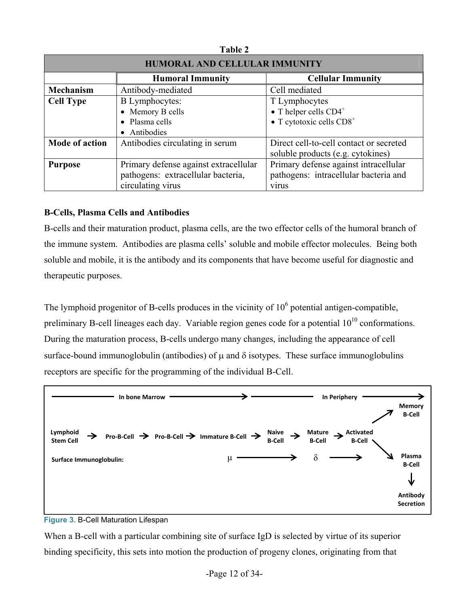| 1 apie <i>2</i>               |                                       |                                         |  |
|-------------------------------|---------------------------------------|-----------------------------------------|--|
| HUMORAL AND CELLULAR IMMUNITY |                                       |                                         |  |
|                               | <b>Humoral Immunity</b>               | <b>Cellular Immunity</b>                |  |
| Mechanism                     | Antibody-mediated                     | Cell mediated                           |  |
| <b>Cell Type</b>              | <b>B</b> Lymphocytes:                 | T Lymphocytes                           |  |
|                               | Memory B cells<br>$\bullet$           | $\bullet$ T helper cells $CD4^+$        |  |
|                               | Plasma cells<br>$\bullet$             | $\bullet$ T cytotoxic cells $CDS^+$     |  |
|                               | Antibodies                            |                                         |  |
| <b>Mode of action</b>         | Antibodies circulating in serum       | Direct cell-to-cell contact or secreted |  |
|                               |                                       | soluble products (e.g. cytokines)       |  |
| <b>Purpose</b>                | Primary defense against extracellular | Primary defense against intracellular   |  |
|                               | pathogens: extracellular bacteria,    | pathogens: intracellular bacteria and   |  |
|                               | circulating virus                     | virus                                   |  |

**Table 2** 

# **B-Cells, Plasma Cells and Antibodies**

B-cells and their maturation product, plasma cells, are the two effector cells of the humoral branch of the immune system. Antibodies are plasma cells' soluble and mobile effector molecules. Being both soluble and mobile, it is the antibody and its components that have become useful for diagnostic and therapeutic purposes.

The lymphoid progenitor of B-cells produces in the vicinity of  $10<sup>6</sup>$  potential antigen-compatible, preliminary B-cell lineages each day. Variable region genes code for a potential  $10^{10}$  conformations. During the maturation process, B-cells undergo many changes, including the appearance of cell surface-bound immunoglobulin (antibodies) of  $\mu$  and  $\delta$  isotypes. These surface immunoglobulins receptors are specific for the programming of the individual B-Cell.



**Figure 3.** B-Cell Maturation Lifespan

When a B-cell with a particular combining site of surface IgD is selected by virtue of its superior binding specificity, this sets into motion the production of progeny clones, originating from that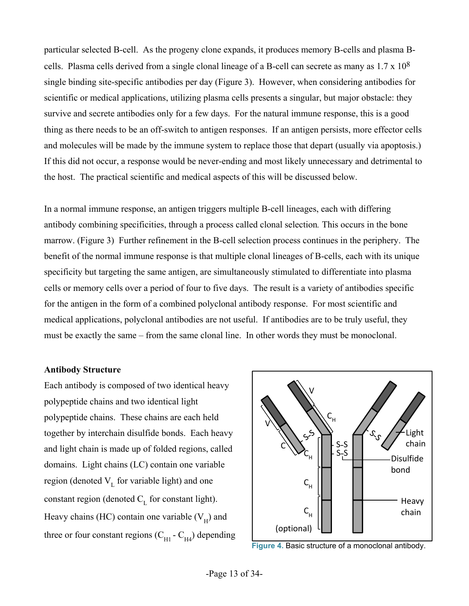particular selected B-cell. As the progeny clone expands, it produces memory B-cells and plasma Bcells. Plasma cells derived from a single clonal lineage of a B-cell can secrete as many as  $1.7 \times 10^8$ single binding site-specific antibodies per day (Figure 3). However, when considering antibodies for scientific or medical applications, utilizing plasma cells presents a singular, but major obstacle: they survive and secrete antibodies only for a few days. For the natural immune response, this is a good thing as there needs to be an off-switch to antigen responses. If an antigen persists, more effector cells and molecules will be made by the immune system to replace those that depart (usually via apoptosis.) If this did not occur, a response would be never-ending and most likely unnecessary and detrimental to the host. The practical scientific and medical aspects of this will be discussed below.

In a normal immune response, an antigen triggers multiple B-cell lineages, each with differing antibody combining specificities, through a process called clonal selection*.* This occurs in the bone marrow. (Figure 3) Further refinement in the B-cell selection process continues in the periphery. The benefit of the normal immune response is that multiple clonal lineages of B-cells, each with its unique specificity but targeting the same antigen, are simultaneously stimulated to differentiate into plasma cells or memory cells over a period of four to five days. The result is a variety of antibodies specific for the antigen in the form of a combined polyclonal antibody response. For most scientific and medical applications, polyclonal antibodies are not useful. If antibodies are to be truly useful, they must be exactly the same – from the same clonal line. In other words they must be monoclonal.

#### **Antibody Structure**

Each antibody is composed of two identical heavy polypeptide chains and two identical light polypeptide chains. These chains are each held together by interchain disulfide bonds. Each heavy and light chain is made up of folded regions, called domains. Light chains (LC) contain one variable region (denoted  $V<sub>L</sub>$  for variable light) and one constant region (denoted  $C<sub>L</sub>$  for constant light). Heavy chains (HC) contain one variable  $(V_H)$  and three or four constant regions ( $C_{H1}$  -  $C_{H4}$ ) depending



**Figure 4.** Basic structure of a monoclonal antibody.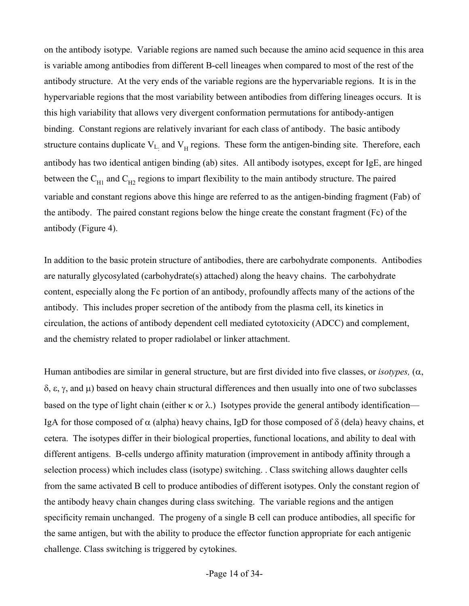on the antibody isotype. Variable regions are named such because the amino acid sequence in this area is variable among antibodies from different B-cell lineages when compared to most of the rest of the antibody structure. At the very ends of the variable regions are the hypervariable regions. It is in the hypervariable regions that the most variability between antibodies from differing lineages occurs. It is this high variability that allows very divergent conformation permutations for antibody-antigen binding. Constant regions are relatively invariant for each class of antibody. The basic antibody structure contains duplicate  $V_L$  and  $V_H$  regions. These form the antigen-binding site. Therefore, each antibody has two identical antigen binding (ab) sites. All antibody isotypes, except for IgE, are hinged between the  $C_{H1}$  and  $C_{H2}$  regions to impart flexibility to the main antibody structure. The paired variable and constant regions above this hinge are referred to as the antigen-binding fragment (Fab) of the antibody. The paired constant regions below the hinge create the constant fragment (Fc) of the antibody (Figure 4).

In addition to the basic protein structure of antibodies, there are carbohydrate components. Antibodies are naturally glycosylated (carbohydrate(s) attached) along the heavy chains. The carbohydrate content, especially along the Fc portion of an antibody, profoundly affects many of the actions of the antibody. This includes proper secretion of the antibody from the plasma cell, its kinetics in circulation, the actions of antibody dependent cell mediated cytotoxicity (ADCC) and complement, and the chemistry related to proper radiolabel or linker attachment.

Human antibodies are similar in general structure, but are first divided into five classes, or *isotypes*,  $(\alpha, \beta)$  $\delta$ ,  $\varepsilon$ ,  $\gamma$ , and  $\mu$ ) based on heavy chain structural differences and then usually into one of two subclasses based on the type of light chain (either  $\kappa$  or  $\lambda$ .) Isotypes provide the general antibody identification— IgA for those composed of  $\alpha$  (alpha) heavy chains, IgD for those composed of  $\delta$  (dela) heavy chains, et cetera. The isotypes differ in their biological properties, functional locations, and ability to deal with different antigens. B-cells undergo affinity maturation (improvement in antibody affinity through a selection process) which includes class (isotype) switching. . Class switching allows daughter cells from the same activated B cell to produce antibodies of different isotypes. Only the constant region of the antibody heavy chain changes during class switching. The variable regions and the antigen specificity remain unchanged. The progeny of a single B cell can produce antibodies, all specific for the same antigen, but with the ability to produce the effector function appropriate for each antigenic challenge. Class switching is triggered by cytokines.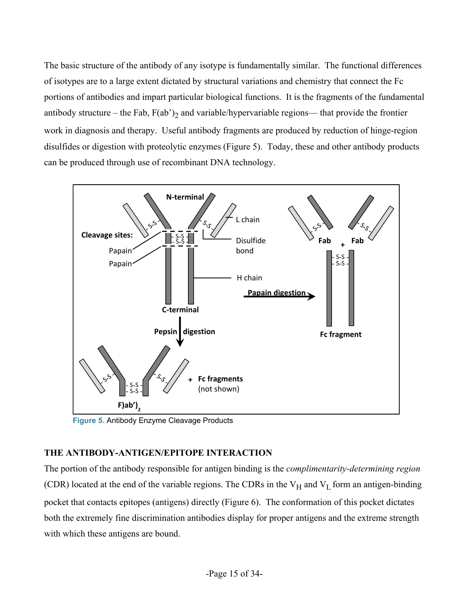The basic structure of the antibody of any isotype is fundamentally similar. The functional differences of isotypes are to a large extent dictated by structural variations and chemistry that connect the Fc portions of antibodies and impart particular biological functions. It is the fragments of the fundamental antibody structure – the Fab,  $F(ab')_2$  and variable/hypervariable regions— that provide the frontier work in diagnosis and therapy. Useful antibody fragments are produced by reduction of hinge-region disulfides or digestion with proteolytic enzymes (Figure 5). Today, these and other antibody products can be produced through use of recombinant DNA technology.



**Figure 5.** Antibody Enzyme Cleavage Products

# **THE ANTIBODY-ANTIGEN/EPITOPE INTERACTION**

The portion of the antibody responsible for antigen binding is the *complimentarity-determining region* (CDR) located at the end of the variable regions. The CDRs in the  $V_H$  and  $V_L$  form an antigen-binding pocket that contacts epitopes (antigens) directly (Figure 6). The conformation of this pocket dictates both the extremely fine discrimination antibodies display for proper antigens and the extreme strength with which these antigens are bound.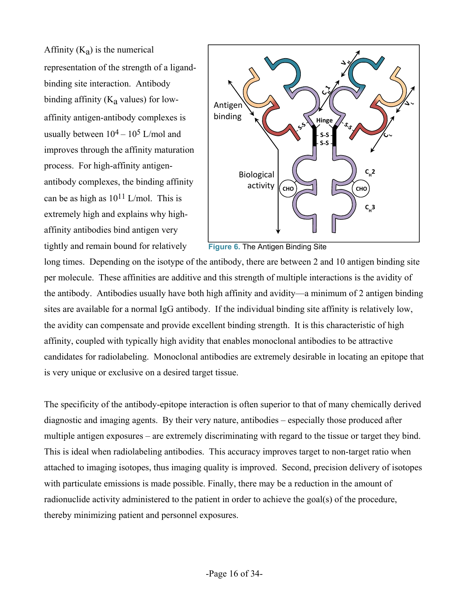Affinity  $(K_a)$  is the numerical representation of the strength of a ligandbinding site interaction. Antibody binding affinity ( $K_a$  values) for lowaffinity antigen-antibody complexes is usually between  $10^4 - 10^5$  L/mol and improves through the affinity maturation process. For high-affinity antigenantibody complexes, the binding affinity can be as high as  $10^{11}$  L/mol. This is extremely high and explains why highaffinity antibodies bind antigen very tightly and remain bound for relatively



**Figure 6. The Antigen Binding Site** 

long times. Depending on the isotype of the antibody, there are between 2 and 10 antigen binding site per molecule. These affinities are additive and this strength of multiple interactions is the avidity of the antibody. Antibodies usually have both high affinity and avidity—a minimum of 2 antigen binding sites are available for a normal IgG antibody. If the individual binding site affinity is relatively low, the avidity can compensate and provide excellent binding strength. It is this characteristic of high affinity, coupled with typically high avidity that enables monoclonal antibodies to be attractive candidates for radiolabeling. Monoclonal antibodies are extremely desirable in locating an epitope that is very unique or exclusive on a desired target tissue.

The specificity of the antibody-epitope interaction is often superior to that of many chemically derived diagnostic and imaging agents. By their very nature, antibodies – especially those produced after multiple antigen exposures – are extremely discriminating with regard to the tissue or target they bind. This is ideal when radiolabeling antibodies. This accuracy improves target to non-target ratio when attached to imaging isotopes, thus imaging quality is improved. Second, precision delivery of isotopes with particulate emissions is made possible. Finally, there may be a reduction in the amount of radionuclide activity administered to the patient in order to achieve the goal(s) of the procedure, thereby minimizing patient and personnel exposures.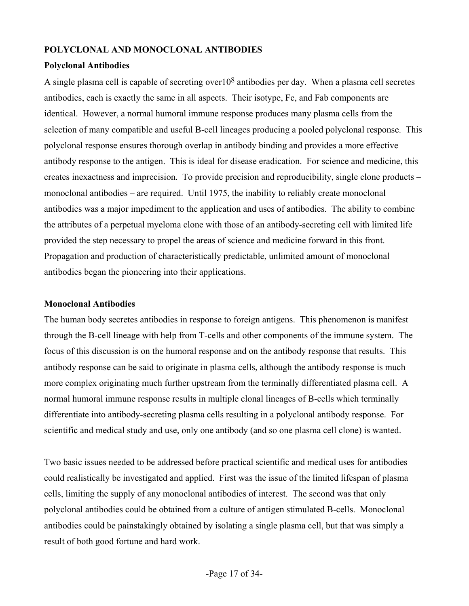### **POLYCLONAL AND MONOCLONAL ANTIBODIES**

# **Polyclonal Antibodies**

A single plasma cell is capable of secreting over108 antibodies per day. When a plasma cell secretes antibodies, each is exactly the same in all aspects. Their isotype, Fc, and Fab components are identical. However, a normal humoral immune response produces many plasma cells from the selection of many compatible and useful B-cell lineages producing a pooled polyclonal response. This polyclonal response ensures thorough overlap in antibody binding and provides a more effective antibody response to the antigen. This is ideal for disease eradication. For science and medicine, this creates inexactness and imprecision. To provide precision and reproducibility, single clone products – monoclonal antibodies – are required. Until 1975, the inability to reliably create monoclonal antibodies was a major impediment to the application and uses of antibodies. The ability to combine the attributes of a perpetual myeloma clone with those of an antibody-secreting cell with limited life provided the step necessary to propel the areas of science and medicine forward in this front. Propagation and production of characteristically predictable, unlimited amount of monoclonal antibodies began the pioneering into their applications.

## **Monoclonal Antibodies**

The human body secretes antibodies in response to foreign antigens. This phenomenon is manifest through the B-cell lineage with help from T-cells and other components of the immune system. The focus of this discussion is on the humoral response and on the antibody response that results. This antibody response can be said to originate in plasma cells, although the antibody response is much more complex originating much further upstream from the terminally differentiated plasma cell. A normal humoral immune response results in multiple clonal lineages of B-cells which terminally differentiate into antibody-secreting plasma cells resulting in a polyclonal antibody response. For scientific and medical study and use, only one antibody (and so one plasma cell clone) is wanted.

Two basic issues needed to be addressed before practical scientific and medical uses for antibodies could realistically be investigated and applied. First was the issue of the limited lifespan of plasma cells, limiting the supply of any monoclonal antibodies of interest. The second was that only polyclonal antibodies could be obtained from a culture of antigen stimulated B-cells. Monoclonal antibodies could be painstakingly obtained by isolating a single plasma cell, but that was simply a result of both good fortune and hard work.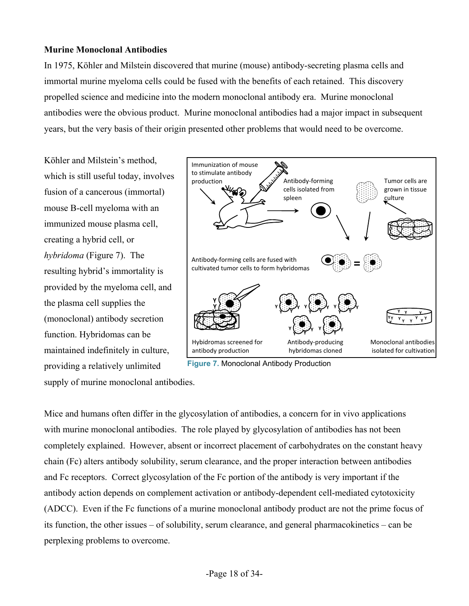# **Murine Monoclonal Antibodies**

In 1975, Köhler and Milstein discovered that murine (mouse) antibody-secreting plasma cells and immortal murine myeloma cells could be fused with the benefits of each retained. This discovery propelled science and medicine into the modern monoclonal antibody era. Murine monoclonal antibodies were the obvious product. Murine monoclonal antibodies had a major impact in subsequent years, but the very basis of their origin presented other problems that would need to be overcome.

Köhler and Milstein's method, which is still useful today, involves fusion of a cancerous (immortal) mouse B-cell myeloma with an immunized mouse plasma cell, creating a hybrid cell, or *hybridoma* (Figure 7). The resulting hybrid's immortality is provided by the myeloma cell, and the plasma cell supplies the (monoclonal) antibody secretion function. Hybridomas can be maintained indefinitely in culture, providing a relatively unlimited



**Figure 7.** Monoclonal Antibody Production

supply of murine monoclonal antibodies.

Mice and humans often differ in the glycosylation of antibodies, a concern for in vivo applications with murine monoclonal antibodies. The role played by glycosylation of antibodies has not been completely explained. However, absent or incorrect placement of carbohydrates on the constant heavy chain (Fc) alters antibody solubility, serum clearance, and the proper interaction between antibodies and Fc receptors. Correct glycosylation of the Fc portion of the antibody is very important if the antibody action depends on complement activation or antibody-dependent cell-mediated cytotoxicity (ADCC). Even if the Fc functions of a murine monoclonal antibody product are not the prime focus of its function, the other issues – of solubility, serum clearance, and general pharmacokinetics – can be perplexing problems to overcome.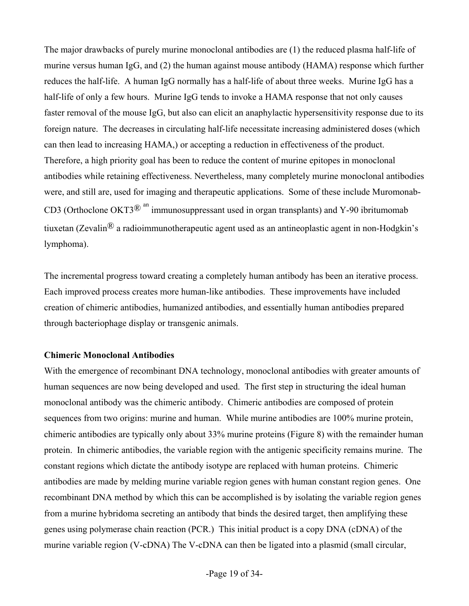The major drawbacks of purely murine monoclonal antibodies are (1) the reduced plasma half-life of murine versus human IgG, and (2) the human against mouse antibody (HAMA) response which further reduces the half-life. A human IgG normally has a half-life of about three weeks. Murine IgG has a half-life of only a few hours. Murine IgG tends to invoke a HAMA response that not only causes faster removal of the mouse IgG, but also can elicit an anaphylactic hypersensitivity response due to its foreign nature. The decreases in circulating half-life necessitate increasing administered doses (which can then lead to increasing HAMA,) or accepting a reduction in effectiveness of the product. Therefore, a high priority goal has been to reduce the content of murine epitopes in monoclonal antibodies while retaining effectiveness. Nevertheless, many completely murine monoclonal antibodies were, and still are, used for imaging and therapeutic applications. Some of these include Muromonab-CD3 (Orthoclone OKT3<sup>®</sup> and immunosuppressant used in organ transplants) and Y-90 ibritumomab tiuxetan (Zevalin<sup>®</sup> a radioimmunotherapeutic agent used as an antineoplastic agent in non-Hodgkin's lymphoma).

The incremental progress toward creating a completely human antibody has been an iterative process. Each improved process creates more human-like antibodies. These improvements have included creation of chimeric antibodies, humanized antibodies, and essentially human antibodies prepared through bacteriophage display or transgenic animals.

#### **Chimeric Monoclonal Antibodies**

With the emergence of recombinant DNA technology, monoclonal antibodies with greater amounts of human sequences are now being developed and used. The first step in structuring the ideal human monoclonal antibody was the chimeric antibody. Chimeric antibodies are composed of protein sequences from two origins: murine and human. While murine antibodies are 100% murine protein, chimeric antibodies are typically only about 33% murine proteins (Figure 8) with the remainder human protein.In chimeric antibodies, the variable region with the antigenic specificity remains murine. The constant regions which dictate the antibody isotype are replaced with human proteins. Chimeric antibodies are made by melding murine variable region genes with human constant region genes. One recombinant DNA method by which this can be accomplished is by isolating the variable region genes from a murine hybridoma secreting an antibody that binds the desired target, then amplifying these genes using polymerase chain reaction (PCR.) This initial product is a copy DNA (cDNA) of the murine variable region (V-cDNA) The V-cDNA can then be ligated into a plasmid (small circular,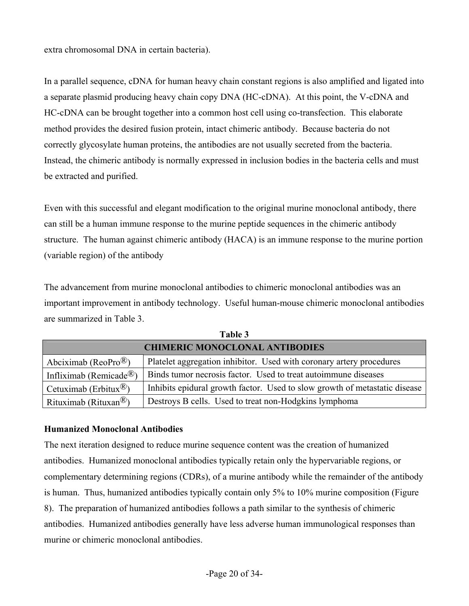extra chromosomal DNA in certain bacteria).

In a parallel sequence, cDNA for human heavy chain constant regions is also amplified and ligated into a separate plasmid producing heavy chain copy DNA (HC-cDNA). At this point, the V-cDNA and HC-cDNA can be brought together into a common host cell using co-transfection. This elaborate method provides the desired fusion protein, intact chimeric antibody. Because bacteria do not correctly glycosylate human proteins, the antibodies are not usually secreted from the bacteria. Instead, the chimeric antibody is normally expressed in inclusion bodies in the bacteria cells and must be extracted and purified.

Even with this successful and elegant modification to the original murine monoclonal antibody, there can still be a human immune response to the murine peptide sequences in the chimeric antibody structure. The human against chimeric antibody (HACA) is an immune response to the murine portion (variable region) of the antibody

The advancement from murine monoclonal antibodies to chimeric monoclonal antibodies was an important improvement in antibody technology. Useful human-mouse chimeric monoclonal antibodies are summarized in Table 3.

| <b>CHIMERIC MONOCLONAL ANTIBODIES</b> |                                                                            |  |  |
|---------------------------------------|----------------------------------------------------------------------------|--|--|
| Abciximab (ReoPro <sup>®</sup> )      | Platelet aggregation inhibitor. Used with coronary artery procedures       |  |  |
| Infliximab (Remicade <sup>®</sup> )   | Binds tumor necrosis factor. Used to treat autoimmune diseases             |  |  |
| Cetuximab (Erbitux $\mathbb{R}$ )     | Inhibits epidural growth factor. Used to slow growth of metastatic disease |  |  |
| Rituximab (Rituxan <sup>®</sup> )     | Destroys B cells. Used to treat non-Hodgkins lymphoma                      |  |  |

**Table 3** 

# **Humanized Monoclonal Antibodies**

The next iteration designed to reduce murine sequence content was the creation of humanized antibodies. Humanized monoclonal antibodies typically retain only the hypervariable regions, or complementary determining regions (CDRs), of a murine antibody while the remainder of the antibody is human. Thus, humanized antibodies typically contain only 5% to 10% murine composition (Figure 8). The preparation of humanized antibodies follows a path similar to the synthesis of chimeric antibodies. Humanized antibodies generally have less adverse human immunological responses than murine or chimeric monoclonal antibodies.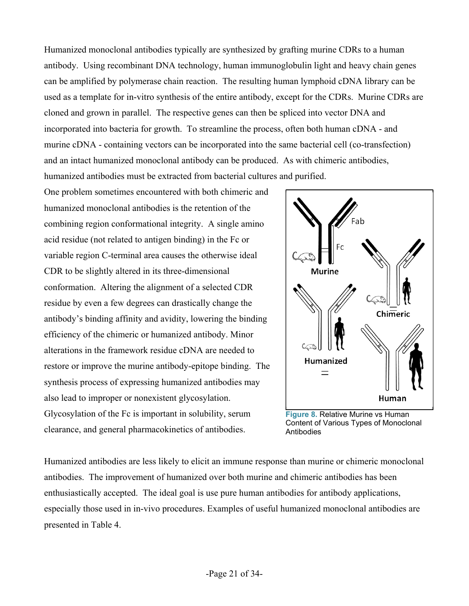Humanized monoclonal antibodies typically are synthesized by grafting murine CDRs to a human antibody. Using recombinant DNA technology, human immunoglobulin light and heavy chain genes can be amplified by polymerase chain reaction. The resulting human lymphoid cDNA library can be used as a template for in-vitro synthesis of the entire antibody, except for the CDRs. Murine CDRs are cloned and grown in parallel. The respective genes can then be spliced into vector DNA and incorporated into bacteria for growth. To streamline the process, often both human cDNA - and murine cDNA - containing vectors can be incorporated into the same bacterial cell (co-transfection) and an intact humanized monoclonal antibody can be produced. As with chimeric antibodies, humanized antibodies must be extracted from bacterial cultures and purified.

One problem sometimes encountered with both chimeric and humanized monoclonal antibodies is the retention of the combining region conformational integrity. A single amino acid residue (not related to antigen binding) in the Fc or variable region C-terminal area causes the otherwise ideal CDR to be slightly altered in its three-dimensional conformation. Altering the alignment of a selected CDR residue by even a few degrees can drastically change the antibody's binding affinity and avidity, lowering the binding efficiency of the chimeric or humanized antibody. Minor alterations in the framework residue cDNA are needed to restore or improve the murine antibody-epitope binding. The synthesis process of expressing humanized antibodies may also lead to improper or nonexistent glycosylation. Glycosylation of the Fc is important in solubility, serum clearance, and general pharmacokinetics of antibodies.



**Figure 8.** Relative Murine vs Human Content of Various Types of Monoclonal Antibodies

Humanized antibodies are less likely to elicit an immune response than murine or chimeric monoclonal antibodies. The improvement of humanized over both murine and chimeric antibodies has been enthusiastically accepted. The ideal goal is use pure human antibodies for antibody applications, especially those used in in-vivo procedures. Examples of useful humanized monoclonal antibodies are presented in Table 4.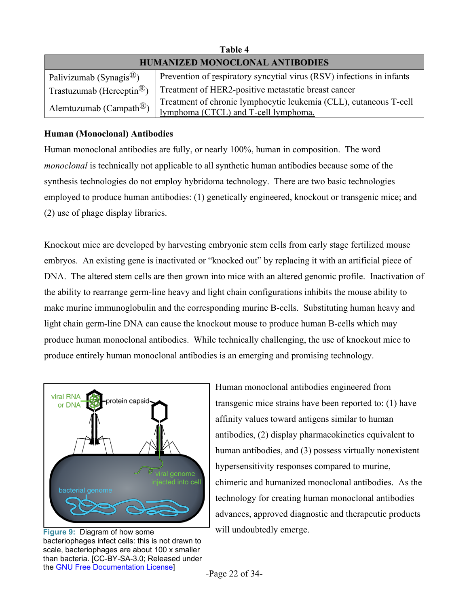| Table 4                                |                                                                                                           |  |  |
|----------------------------------------|-----------------------------------------------------------------------------------------------------------|--|--|
| <b>HUMANIZED MONOCLONAL ANTIBODIES</b> |                                                                                                           |  |  |
| Palivizumab (Synagis $^{\circledR}$ )  | Prevention of respiratory syncytial virus (RSV) infections in infants                                     |  |  |
| Trastuzumab (Herceptin <sup>®</sup> )  | Treatment of HER2-positive metastatic breast cancer                                                       |  |  |
| ' Alemtuzumab (Campath <sup>®</sup> )  | Treatment of chronic lymphocytic leukemia (CLL), cutaneous T-cell<br>lymphoma (CTCL) and T-cell lymphoma. |  |  |

### **Human (Monoclonal) Antibodies**

Human monoclonal antibodies are fully, or nearly 100%, human in composition. The word *monoclonal* is technically not applicable to all synthetic human antibodies because some of the synthesis technologies do not employ hybridoma technology. There are two basic technologies employed to produce human antibodies: (1) genetically engineered, knockout or transgenic mice; and (2) use of phage display libraries.

Knockout mice are developed by harvesting embryonic stem cells from early stage fertilized mouse embryos. An existing gene is inactivated or "knocked out" by replacing it with an artificial piece of DNA. The altered stem cells are then grown into mice with an altered genomic profile. Inactivation of the ability to rearrange germ-line heavy and light chain configurations inhibits the mouse ability to make murine immunoglobulin and the corresponding murine B-cells. Substituting human heavy and light chain germ-line DNA can cause the knockout mouse to produce human B-cells which may produce human monoclonal antibodies. While technically challenging, the use of knockout mice to produce entirely human monoclonal antibodies is an emerging and promising technology.



**Figure 9:** Diagram of how some bacteriophages infect cells: this is not drawn to scale, bacteriophages are about 100 x smaller than bacteria. [CC-BY-SA-3.0; Released under the GNU Free Documentation License]

Human monoclonal antibodies engineered from transgenic mice strains have been reported to: (1) have affinity values toward antigens similar to human antibodies, (2) display pharmacokinetics equivalent to human antibodies, and (3) possess virtually nonexistent hypersensitivity responses compared to murine, chimeric and humanized monoclonal antibodies. As the technology for creating human monoclonal antibodies advances, approved diagnostic and therapeutic products will undoubtedly emerge.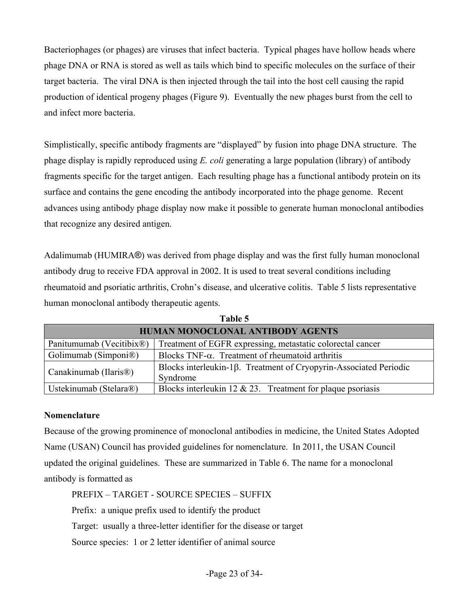Bacteriophages (or phages) are viruses that infect bacteria. Typical phages have hollow heads where phage DNA or RNA is stored as well as tails which bind to specific molecules on the surface of their target bacteria. The viral DNA is then injected through the tail into the host cell causing the rapid production of identical progeny phages (Figure 9). Eventually the new phages burst from the cell to and infect more bacteria.

Simplistically, specific antibody fragments are "displayed" by fusion into phage DNA structure. The phage display is rapidly reproduced using *E. coli* generating a large population (library) of antibody fragments specific for the target antigen. Each resulting phage has a functional antibody protein on its surface and contains the gene encoding the antibody incorporated into the phage genome. Recent advances using antibody phage display now make it possible to generate human monoclonal antibodies that recognize any desired antigen.

Adalimumab (HUMIRA®) was derived from phage display and was the first fully human monoclonal antibody drug to receive FDA approval in 2002. It is used to treat several conditions including rheumatoid and psoriatic arthritis, Crohn's disease, and ulcerative colitis. Table 5 lists representative human monoclonal antibody therapeutic agents.

| L'AVIC J                                                                        |                                                                                       |  |  |
|---------------------------------------------------------------------------------|---------------------------------------------------------------------------------------|--|--|
| HUMAN MONOCLONAL ANTIBODY AGENTS                                                |                                                                                       |  |  |
| Panitumumab (Vecitibix <sup>®)</sup>                                            | Treatment of EGFR expressing, metastatic colorectal cancer                            |  |  |
| Golimumab (Simponi®)<br>Blocks $TNF-\alpha$ . Treatment of rheumatoid arthritis |                                                                                       |  |  |
| Canakinumab (Ilaris <sup>®)</sup>                                               | Blocks interleukin-1 $\beta$ . Treatment of Cryopyrin-Associated Periodic<br>Syndrome |  |  |
| Ustekinumab (Stelara <sup>®</sup> )                                             | Blocks interleukin 12 $\&$ 23. Treatment for plaque psoriasis                         |  |  |

**Table 5** 

# **Nomenclature**

Because of the growing prominence of monoclonal antibodies in medicine, the United States Adopted Name (USAN) Council has provided guidelines for nomenclature. In 2011, the USAN Council updated the original guidelines. These are summarized in Table 6. The name for a monoclonal antibody is formatted as

PREFIX – TARGET - SOURCE SPECIES – SUFFIX Prefix: a unique prefix used to identify the product Target: usually a three-letter identifier for the disease or target Source species: 1 or 2 letter identifier of animal source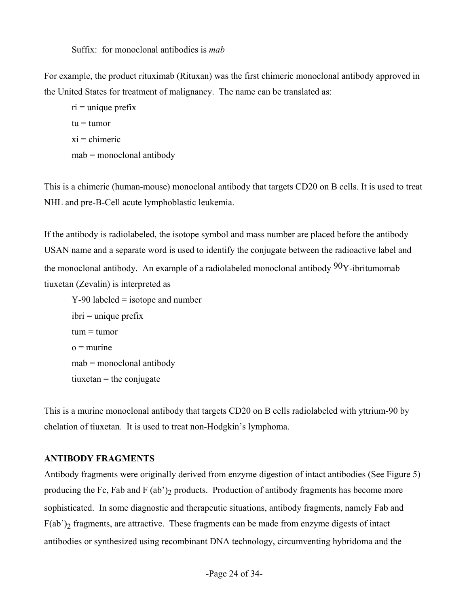Suffix: for monoclonal antibodies is *mab* 

For example, the product rituximab (Rituxan) was the first chimeric monoclonal antibody approved in the United States for treatment of malignancy. The name can be translated as:

 $ri =$ unique prefix  $tu = tumor$  $xi =$ chimeric mab = monoclonal antibody

This is a chimeric (human-mouse) monoclonal antibody that targets CD20 on B cells. It is used to treat NHL and pre-B-Cell acute lymphoblastic leukemia.

If the antibody is radiolabeled, the isotope symbol and mass number are placed before the antibody USAN name and a separate word is used to identify the conjugate between the radioactive label and the monoclonal antibody. An example of a radiolabeled monoclonal antibody  $90Y$ -ibritumomab tiuxetan (Zevalin) is interpreted as

 $Y-90$  labeled = isotope and number  $ibri = unique prefix$  $tum = tumor$  $o =$  murine  $mab =$ monoclonal antibody  $t$ iuxetan = the conjugate

This is a murine monoclonal antibody that targets CD20 on B cells radiolabeled with yttrium-90 by chelation of tiuxetan. It is used to treat non-Hodgkin's lymphoma.

# **ANTIBODY FRAGMENTS**

Antibody fragments were originally derived from enzyme digestion of intact antibodies (See Figure 5) producing the Fc, Fab and F (ab')<sub>2</sub> products. Production of antibody fragments has become more sophisticated. In some diagnostic and therapeutic situations, antibody fragments, namely Fab and  $F(ab')$ <sub>2</sub> fragments, are attractive. These fragments can be made from enzyme digests of intact antibodies or synthesized using recombinant DNA technology, circumventing hybridoma and the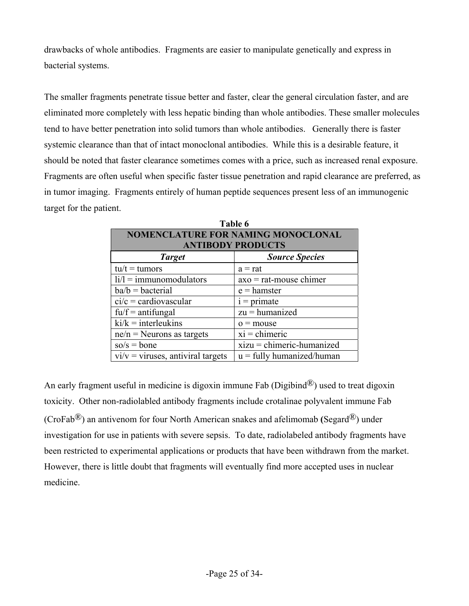drawbacks of whole antibodies. Fragments are easier to manipulate genetically and express in bacterial systems.

The smaller fragments penetrate tissue better and faster, clear the general circulation faster, and are eliminated more completely with less hepatic binding than whole antibodies. These smaller molecules tend to have better penetration into solid tumors than whole antibodies. Generally there is faster systemic clearance than that of intact monoclonal antibodies. While this is a desirable feature, it should be noted that faster clearance sometimes comes with a price, such as increased renal exposure. Fragments are often useful when specific faster tissue penetration and rapid clearance are preferred, as in tumor imaging. Fragments entirely of human peptide sequences present less of an immunogenic target for the patient.

| Table 6                                      |                             |  |  |
|----------------------------------------------|-----------------------------|--|--|
| NOMENCLATURE FOR NAMING MONOCLONAL           |                             |  |  |
| <b>ANTIBODY PRODUCTS</b>                     |                             |  |  |
| <b>Target</b>                                | <b>Source Species</b>       |  |  |
| $tu/t = tumors$                              | $a = rat$                   |  |  |
| $\left  i \right  = \text{immunomodulators}$ | $axo = rat$ -mouse chimer   |  |  |
| $ba/b = bacterial$                           | $e =$ hamster               |  |  |
| $ci/c = cardiovascular$                      | $i =$ primate               |  |  |
| $fu/f = antifungal$                          | $zu =$ humanized            |  |  |
| $ki/k =$ interleukins                        | $o = mouse$                 |  |  |
| $ne/n = Neurons$ as targets                  | $xi =$ chimeric             |  |  |
| $\text{so/s} = \text{bone}$                  | $xizu =$ chimeric-humanized |  |  |
| $vi/v = viruses$ , antiviral targets         | $u =$ fully humanized/human |  |  |

An early fragment useful in medicine is digoxin immune Fab ( $\text{Digital}^{(1)}$ ) used to treat digoxin toxicity. Other non-radiolabled antibody fragments include crotalinae polyvalent immune Fab (CroFab®) an antivenom for four North American snakes and afelimomab **(**Segard®) under investigation for use in patients with severe sepsis. To date, radiolabeled antibody fragments have been restricted to experimental applications or products that have been withdrawn from the market. However, there is little doubt that fragments will eventually find more accepted uses in nuclear medicine.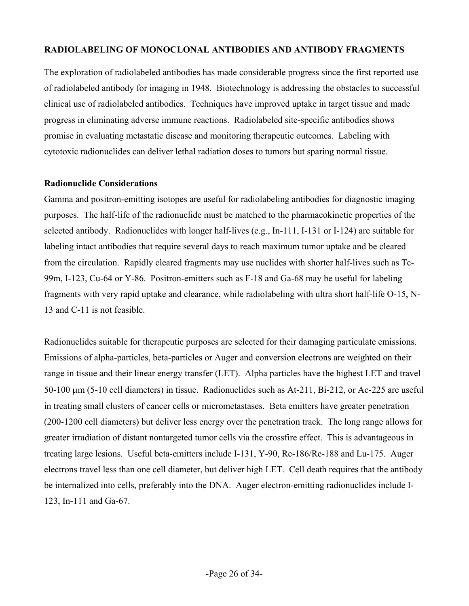#### **RADIOLABELING OF MONOCLONAL ANTIBODIES AND ANTIBODY FRAGMENTS**

The exploration of radiolabeled antibodies has made considerable progress since the first reported use of radiolabeled antibody for imaging in 1948. Biotechnology is addressing the obstacles to successful clinical use of radiolabeled antibodies. Techniques have improved uptake in target tissue and made progress in eliminating adverse immune reactions. Radiolabeled site-specific antibodies shows promise in evaluating metastatic disease and monitoring therapeutic outcomes. Labeling with cytotoxic radionuclides can deliver lethal radiation doses to tumors but sparing normal tissue.

### **Radionuclide Considerations**

Gamma and positron-emitting isotopes are useful for radiolabeling antibodies for diagnostic imaging purposes. The half-life of the radionuclide must be matched to the pharmacokinetic properties of the selected antibody. Radionuclides with longer half-lives (e.g., In-111, I-131 or I-124) are suitable for labeling intact antibodies that require several days to reach maximum tumor uptake and be cleared from the circulation. Rapidly cleared fragments may use nuclides with shorter half-lives such as Tc-99m, I-123, Cu-64 or Y-86. Positron-emitters such as F-18 and Ga-68 may be useful for labeling fragments with very rapid uptake and clearance, while radiolabeling with ultra short half-life O-15, N-13 and C-11 is not feasible.

Radionuclides suitable for therapeutic purposes are selected for their damaging particulate emissions. Emissions of alpha-particles, beta-particles or Auger and conversion electrons are weighted on their range in tissue and their linear energy transfer (LET). Alpha particles have the highest LET and travel 50-100 m (5-10 cell diameters) in tissue. Radionuclides such as At-211, Bi-212, or Ac-225 are useful in treating small clusters of cancer cells or micrometastases. Beta emitters have greater penetration (200-1200 cell diameters) but deliver less energy over the penetration track. The long range allows for greater irradiation of distant nontargeted tumor cells via the crossfire effect. This is advantageous in treating large lesions. Useful beta-emitters include I-131, Y-90, Re-186/Re-188 and Lu-175. Auger electrons travel less than one cell diameter, but deliver high LET. Cell death requires that the antibody be internalized into cells, preferably into the DNA. Auger electron-emitting radionuclides include I-123, In-111 and Ga-67.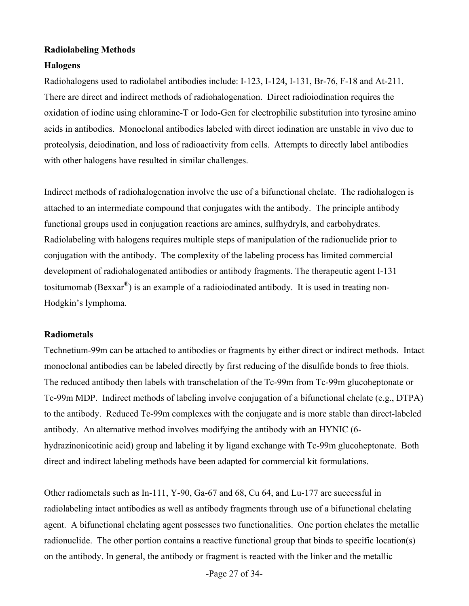#### **Radiolabeling Methods**

#### **Halogens**

Radiohalogens used to radiolabel antibodies include: I-123, I-124, I-131, Br-76, F-18 and At-211. There are direct and indirect methods of radiohalogenation. Direct radioiodination requires the oxidation of iodine using chloramine-T or Iodo-Gen for electrophilic substitution into tyrosine amino acids in antibodies. Monoclonal antibodies labeled with direct iodination are unstable in vivo due to proteolysis, deiodination, and loss of radioactivity from cells. Attempts to directly label antibodies with other halogens have resulted in similar challenges.

Indirect methods of radiohalogenation involve the use of a bifunctional chelate. The radiohalogen is attached to an intermediate compound that conjugates with the antibody. The principle antibody functional groups used in conjugation reactions are amines, sulfhydryls, and carbohydrates. Radiolabeling with halogens requires multiple steps of manipulation of the radionuclide prior to conjugation with the antibody. The complexity of the labeling process has limited commercial development of radiohalogenated antibodies or antibody fragments. The therapeutic agent I-131 tositumomab (Bexxar<sup>®</sup>) is an example of a radioiodinated antibody. It is used in treating non-Hodgkin's lymphoma.

#### **Radiometals**

Technetium-99m can be attached to antibodies or fragments by either direct or indirect methods. Intact monoclonal antibodies can be labeled directly by first reducing of the disulfide bonds to free thiols. The reduced antibody then labels with transchelation of the Tc-99m from Tc-99m glucoheptonate or Tc-99m MDP. Indirect methods of labeling involve conjugation of a bifunctional chelate (e.g., DTPA) to the antibody. Reduced Tc-99m complexes with the conjugate and is more stable than direct-labeled antibody. An alternative method involves modifying the antibody with an HYNIC (6 hydrazinonicotinic acid) group and labeling it by ligand exchange with Tc-99m glucoheptonate. Both direct and indirect labeling methods have been adapted for commercial kit formulations.

Other radiometals such as In-111, Y-90, Ga-67 and 68, Cu 64, and Lu-177 are successful in radiolabeling intact antibodies as well as antibody fragments through use of a bifunctional chelating agent. A bifunctional chelating agent possesses two functionalities. One portion chelates the metallic radionuclide. The other portion contains a reactive functional group that binds to specific location(s) on the antibody. In general, the antibody or fragment is reacted with the linker and the metallic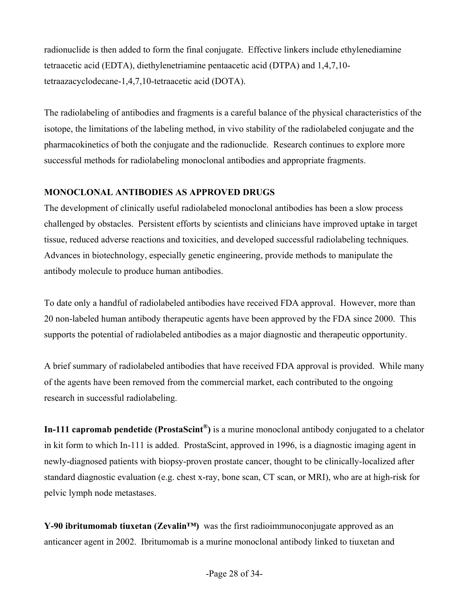radionuclide is then added to form the final conjugate. Effective linkers include ethylenediamine tetraacetic acid (EDTA), diethylenetriamine pentaacetic acid (DTPA) and 1,4,7,10 tetraazacyclodecane-1,4,7,10-tetraacetic acid (DOTA).

The radiolabeling of antibodies and fragments is a careful balance of the physical characteristics of the isotope, the limitations of the labeling method, in vivo stability of the radiolabeled conjugate and the pharmacokinetics of both the conjugate and the radionuclide. Research continues to explore more successful methods for radiolabeling monoclonal antibodies and appropriate fragments.

# **MONOCLONAL ANTIBODIES AS APPROVED DRUGS**

The development of clinically useful radiolabeled monoclonal antibodies has been a slow process challenged by obstacles. Persistent efforts by scientists and clinicians have improved uptake in target tissue, reduced adverse reactions and toxicities, and developed successful radiolabeling techniques. Advances in biotechnology, especially genetic engineering, provide methods to manipulate the antibody molecule to produce human antibodies.

To date only a handful of radiolabeled antibodies have received FDA approval. However, more than 20 non-labeled human antibody therapeutic agents have been approved by the FDA since 2000. This supports the potential of radiolabeled antibodies as a major diagnostic and therapeutic opportunity.

A brief summary of radiolabeled antibodies that have received FDA approval is provided. While many of the agents have been removed from the commercial market, each contributed to the ongoing research in successful radiolabeling.

**In-111 capromab pendetide (ProstaScint®)** is a murine monoclonal antibody conjugated to a chelator in kit form to which In-111 is added. ProstaScint, approved in 1996, is a diagnostic imaging agent in newly-diagnosed patients with biopsy-proven prostate cancer, thought to be clinically-localized after standard diagnostic evaluation (e.g. chest x-ray, bone scan, CT scan, or MRI), who are at high-risk for pelvic lymph node metastases.

**Y-90 ibritumomab tiuxetan (Zevalin™)** was the first radioimmunoconjugate approved as an anticancer agent in 2002. Ibritumomab is a murine monoclonal antibody linked to tiuxetan and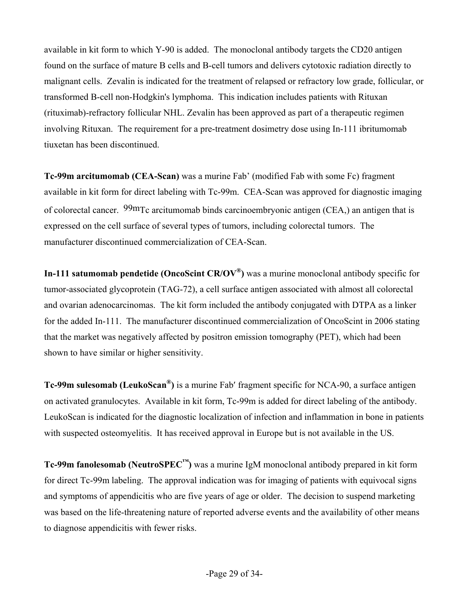available in kit form to which Y-90 is added. The monoclonal antibody targets the CD20 antigen found on the surface of mature B cells and B-cell tumors and delivers cytotoxic radiation directly to malignant cells. Zevalin is indicated for the treatment of relapsed or refractory low grade, follicular, or transformed B-cell non-Hodgkin's lymphoma. This indication includes patients with Rituxan (rituximab)-refractory follicular NHL. Zevalin has been approved as part of a therapeutic regimen involving Rituxan. The requirement for a pre-treatment dosimetry dose using In-111 ibritumomab tiuxetan has been discontinued.

**Tc-99m arcitumomab (CEA-Scan)** was a murine Fab' (modified Fab with some Fc) fragment available in kit form for direct labeling with Tc-99m. CEA-Scan was approved for diagnostic imaging of colorectal cancer. 99mTc arcitumomab binds carcinoembryonic antigen (CEA,) an antigen that is expressed on the cell surface of several types of tumors, including colorectal tumors. The manufacturer discontinued commercialization of CEA-Scan.

**In-111 satumomab pendetide (OncoScint CR/OV®)** was a murine monoclonal antibody specific for tumor-associated glycoprotein (TAG-72), a cell surface antigen associated with almost all colorectal and ovarian adenocarcinomas. The kit form included the antibody conjugated with DTPA as a linker for the added In-111. The manufacturer discontinued commercialization of OncoScint in 2006 stating that the market was negatively affected by positron emission tomography (PET), which had been shown to have similar or higher sensitivity.

**Tc-99m sulesomab (LeukoScan®)** is a murine Fab fragment specific for NCA-90, a surface antigen on activated granulocytes. Available in kit form, Tc-99m is added for direct labeling of the antibody. LeukoScan is indicated for the diagnostic localization of infection and inflammation in bone in patients with suspected osteomyelitis. It has received approval in Europe but is not available in the US.

**Tc-99m fanolesomab (NeutroSPEC™)** was a murine IgM monoclonal antibody prepared in kit form for direct Tc-99m labeling. The approval indication was for imaging of patients with equivocal signs and symptoms of appendicitis who are five years of age or older. The decision to suspend marketing was based on the life-threatening nature of reported adverse events and the availability of other means to diagnose appendicitis with fewer risks.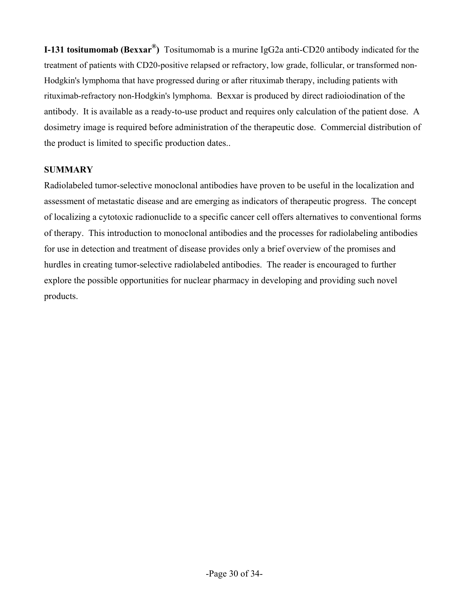**I-131 tositumomab (Bexxar®)** Tositumomab is a murine IgG2a anti-CD20 antibody indicated for the treatment of patients with CD20-positive relapsed or refractory, low grade, follicular, or transformed non-Hodgkin's lymphoma that have progressed during or after rituximab therapy, including patients with rituximab-refractory non-Hodgkin's lymphoma. Bexxar is produced by direct radioiodination of the antibody. It is available as a ready-to-use product and requires only calculation of the patient dose. A dosimetry image is required before administration of the therapeutic dose. Commercial distribution of the product is limited to specific production dates..

# **SUMMARY**

Radiolabeled tumor-selective monoclonal antibodies have proven to be useful in the localization and assessment of metastatic disease and are emerging as indicators of therapeutic progress. The concept of localizing a cytotoxic radionuclide to a specific cancer cell offers alternatives to conventional forms of therapy. This introduction to monoclonal antibodies and the processes for radiolabeling antibodies for use in detection and treatment of disease provides only a brief overview of the promises and hurdles in creating tumor-selective radiolabeled antibodies. The reader is encouraged to further explore the possible opportunities for nuclear pharmacy in developing and providing such novel products.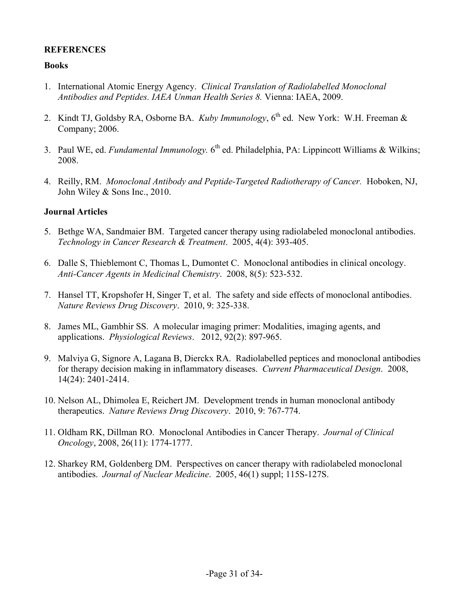### **REFERENCES**

#### **Books**

- 1. International Atomic Energy Agency. *Clinical Translation of Radiolabelled Monoclonal Antibodies and Peptides. IAEA Unman Health Series 8.* Vienna: IAEA, 2009.
- 2. Kindt TJ, Goldsby RA, Osborne BA. *Kuby Immunology*, 6<sup>th</sup> ed. New York: W.H. Freeman & Company; 2006.
- 3. Paul WE, ed. *Fundamental Immunology*. 6<sup>th</sup> ed. Philadelphia, PA: Lippincott Williams & Wilkins; 2008.
- 4. Reilly, RM. *Monoclonal Antibody and Peptide-Targeted Radiotherapy of Cancer.* Hoboken, NJ, John Wiley & Sons Inc., 2010.

### **Journal Articles**

- 5. Bethge WA, Sandmaier BM. Targeted cancer therapy using radiolabeled monoclonal antibodies. *Technology in Cancer Research & Treatment*. 2005, 4(4): 393-405.
- 6. Dalle S, Thieblemont C, Thomas L, Dumontet C. Monoclonal antibodies in clinical oncology. *Anti-Cancer Agents in Medicinal Chemistry*. 2008, 8(5): 523-532.
- 7. Hansel TT, Kropshofer H, Singer T, et al. The safety and side effects of monoclonal antibodies. *Nature Reviews Drug Discovery*. 2010, 9: 325-338.
- 8. James ML, Gambhir SS. A molecular imaging primer: Modalities, imaging agents, and applications. *Physiological Reviews*. 2012, 92(2): 897-965.
- 9. Malviya G, Signore A, Lagana B, Dierckx RA. Radiolabelled peptices and monoclonal antibodies for therapy decision making in inflammatory diseases. *Current Pharmaceutical Design*. 2008, 14(24): 2401-2414.
- 10. Nelson AL, Dhimolea E, Reichert JM. Development trends in human monoclonal antibody therapeutics. *Nature Reviews Drug Discovery*. 2010, 9: 767-774.
- 11. Oldham RK, Dillman RO. Monoclonal Antibodies in Cancer Therapy. *Journal of Clinical Oncology*, 2008, 26(11): 1774-1777.
- 12. Sharkey RM, Goldenberg DM. Perspectives on cancer therapy with radiolabeled monoclonal antibodies. *Journal of Nuclear Medicine*. 2005, 46(1) suppl; 115S-127S.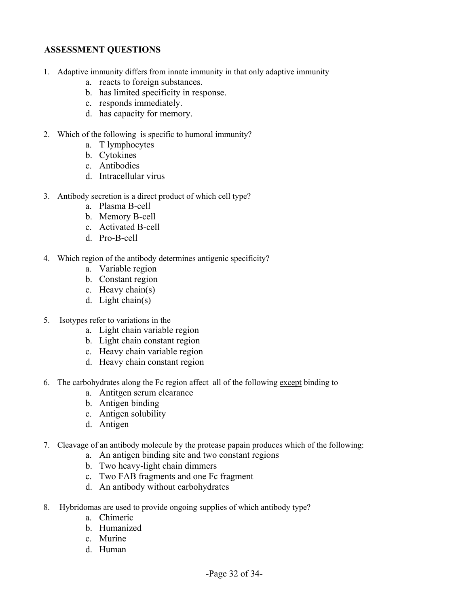### **ASSESSMENT QUESTIONS**

- 1. Adaptive immunity differs from innate immunity in that only adaptive immunity
	- a. reacts to foreign substances.
	- b. has limited specificity in response.
	- c. responds immediately.
	- d. has capacity for memory.
- 2. Which of the following is specific to humoral immunity?
	- a. T lymphocytes
	- b. Cytokines
	- c. Antibodies
	- d. Intracellular virus
- 3. Antibody secretion is a direct product of which cell type?
	- a. Plasma B-cell
	- b. Memory B-cell
	- c. Activated B-cell
	- d. Pro-B-cell
- 4. Which region of the antibody determines antigenic specificity?
	- a. Variable region
	- b. Constant region
	- c. Heavy chain(s)
	- d. Light chain(s)
- 5. Isotypes refer to variations in the
	- a. Light chain variable region
	- b. Light chain constant region
	- c. Heavy chain variable region
	- d. Heavy chain constant region
- 6. The carbohydrates along the Fc region affect all of the following except binding to
	- a. Antitgen serum clearance
	- b. Antigen binding
	- c. Antigen solubility
	- d. Antigen
- 7. Cleavage of an antibody molecule by the protease papain produces which of the following:
	- a. An antigen binding site and two constant regions
	- b. Two heavy-light chain dimmers
	- c. Two FAB fragments and one Fc fragment
	- d. An antibody without carbohydrates
- 8. Hybridomas are used to provide ongoing supplies of which antibody type?
	- a. Chimeric
	- b. Humanized
	- c. Murine
	- d. Human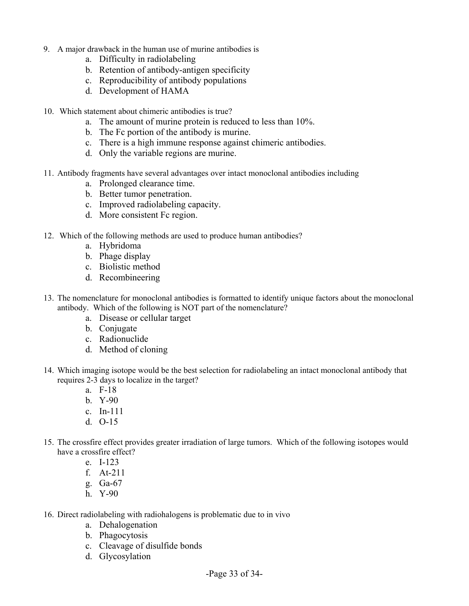- 9. A major drawback in the human use of murine antibodies is
	- a. Difficulty in radiolabeling
	- b. Retention of antibody-antigen specificity
	- c. Reproducibility of antibody populations
	- d. Development of HAMA
- 10. Which statement about chimeric antibodies is true?
	- a. The amount of murine protein is reduced to less than 10%.
	- b. The Fc portion of the antibody is murine.
	- c. There is a high immune response against chimeric antibodies.
	- d. Only the variable regions are murine.
- 11. Antibody fragments have several advantages over intact monoclonal antibodies including
	- a. Prolonged clearance time.
	- b. Better tumor penetration.
	- c. Improved radiolabeling capacity.
	- d. More consistent Fc region.
- 12. Which of the following methods are used to produce human antibodies?
	- a. Hybridoma
	- b. Phage display
	- c. Biolistic method
	- d. Recombineering
- 13. The nomenclature for monoclonal antibodies is formatted to identify unique factors about the monoclonal antibody. Which of the following is NOT part of the nomenclature?
	- a. Disease or cellular target
	- b. Conjugate
	- c. Radionuclide
	- d. Method of cloning
- 14. Which imaging isotope would be the best selection for radiolabeling an intact monoclonal antibody that requires 2-3 days to localize in the target?
	- a. F-18
	- b. Y-90
	- c. In-111
	- d. O-15
- 15. The crossfire effect provides greater irradiation of large tumors. Which of the following isotopes would have a crossfire effect?
	- e. I-123
	- f. At-211
	- g. Ga-67
	- h. Y-90
- 16. Direct radiolabeling with radiohalogens is problematic due to in vivo
	- a. Dehalogenation
	- b. Phagocytosis
	- c. Cleavage of disulfide bonds
	- d. Glycosylation